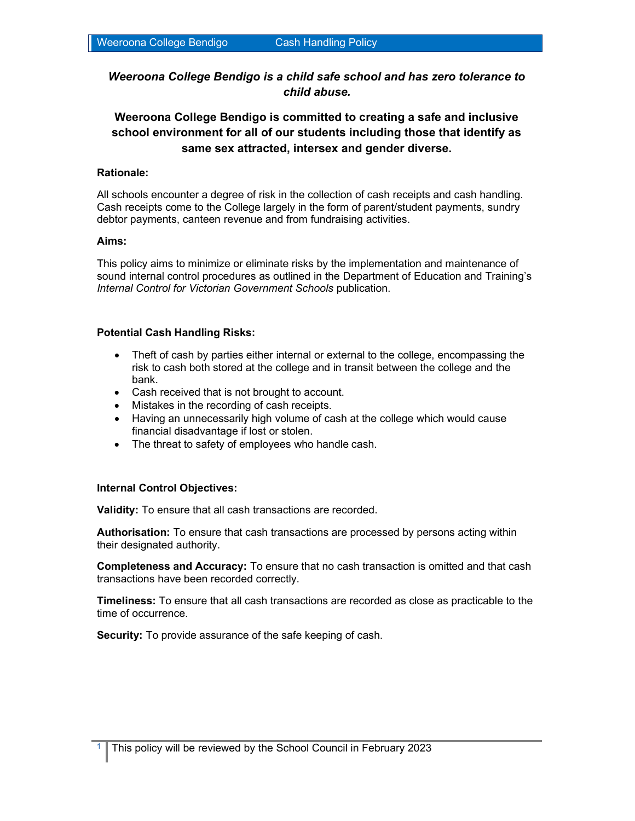Weeroona College Bendigo is a child safe school and has zero tolerance to child abuse.

# Weeroona College Bendigo is committed to creating a safe and inclusive school environment for all of our students including those that identify as same sex attracted, intersex and gender diverse.

#### Rationale:

All schools encounter a degree of risk in the collection of cash receipts and cash handling. Cash receipts come to the College largely in the form of parent/student payments, sundry debtor payments, canteen revenue and from fundraising activities.

#### Aims:

This policy aims to minimize or eliminate risks by the implementation and maintenance of sound internal control procedures as outlined in the Department of Education and Training's Internal Control for Victorian Government Schools publication.

#### Potential Cash Handling Risks:

- Theft of cash by parties either internal or external to the college, encompassing the risk to cash both stored at the college and in transit between the college and the bank.
- Cash received that is not brought to account.
- Mistakes in the recording of cash receipts.
- Having an unnecessarily high volume of cash at the college which would cause financial disadvantage if lost or stolen.
- The threat to safety of employees who handle cash.

#### Internal Control Objectives:

Validity: To ensure that all cash transactions are recorded.

Authorisation: To ensure that cash transactions are processed by persons acting within their designated authority.

Completeness and Accuracy: To ensure that no cash transaction is omitted and that cash transactions have been recorded correctly.

Timeliness: To ensure that all cash transactions are recorded as close as practicable to the time of occurrence.

**Security:** To provide assurance of the safe keeping of cash.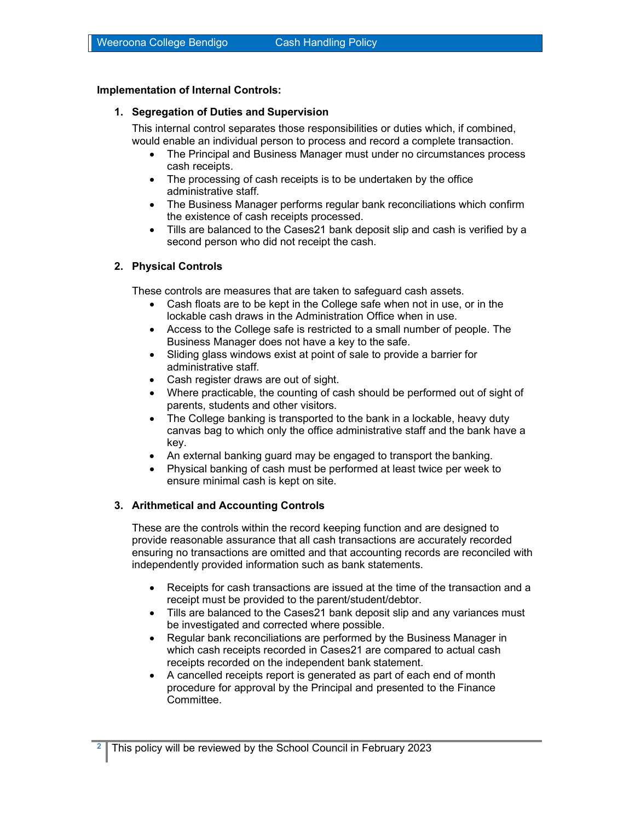## Implementation of Internal Controls:

### 1. Segregation of Duties and Supervision

This internal control separates those responsibilities or duties which, if combined, would enable an individual person to process and record a complete transaction.

- The Principal and Business Manager must under no circumstances process cash receipts.
- The processing of cash receipts is to be undertaken by the office administrative staff.
- The Business Manager performs regular bank reconciliations which confirm the existence of cash receipts processed.
- Tills are balanced to the Cases21 bank deposit slip and cash is verified by a second person who did not receipt the cash.

## 2. Physical Controls

These controls are measures that are taken to safeguard cash assets.

- Cash floats are to be kept in the College safe when not in use, or in the lockable cash draws in the Administration Office when in use.
- Access to the College safe is restricted to a small number of people. The Business Manager does not have a key to the safe.
- Sliding glass windows exist at point of sale to provide a barrier for administrative staff.
- Cash register draws are out of sight.
- Where practicable, the counting of cash should be performed out of sight of parents, students and other visitors.
- The College banking is transported to the bank in a lockable, heavy duty canvas bag to which only the office administrative staff and the bank have a key.
- An external banking guard may be engaged to transport the banking.
- Physical banking of cash must be performed at least twice per week to ensure minimal cash is kept on site.

#### 3. Arithmetical and Accounting Controls

These are the controls within the record keeping function and are designed to provide reasonable assurance that all cash transactions are accurately recorded ensuring no transactions are omitted and that accounting records are reconciled with independently provided information such as bank statements.

- Receipts for cash transactions are issued at the time of the transaction and a receipt must be provided to the parent/student/debtor.
- Tills are balanced to the Cases21 bank deposit slip and any variances must be investigated and corrected where possible.
- Regular bank reconciliations are performed by the Business Manager in which cash receipts recorded in Cases21 are compared to actual cash receipts recorded on the independent bank statement.
- A cancelled receipts report is generated as part of each end of month procedure for approval by the Principal and presented to the Finance Committee.